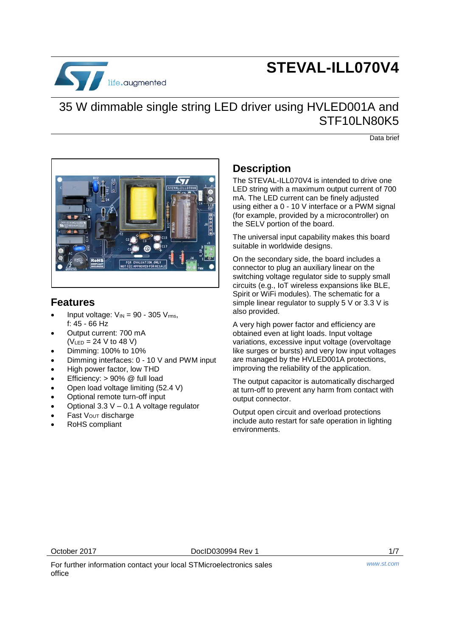

# **STEVAL-ILL070V4**

## 35 W dimmable single string LED driver using HVLED001A and STF<sub>10</sub> N<sub>80</sub>K<sub>5</sub>

Data brief



### **Features**

- Input voltage:  $V_{IN} = 90 305 V_{rms}$ , f: 45 - 66 Hz
- Output current: 700 mA  $(V_{LED} = 24 V to 48 V)$
- Dimming: 100% to 10%
- Dimming interfaces: 0 10 V and PWM input
- High power factor, low THD
- Efficiency: > 90% @ full load
- Open load voltage limiting (52.4 V)
- Optional remote turn-off input
- Optional 3.3 V 0.1 A voltage regulator
- Fast V<sub>OUT</sub> discharge
- RoHS compliant

### **Description**

The STEVAL-ILL070V4 is intended to drive one LED string with a maximum output current of 700 mA. The LED current can be finely adjusted using either a 0 - 10 V interface or a PWM signal (for example, provided by a microcontroller) on the SELV portion of the board.

The universal input capability makes this board suitable in worldwide designs.

On the secondary side, the board includes a connector to plug an auxiliary linear on the switching voltage regulator side to supply small circuits (e.g., IoT wireless expansions like BLE, Spirit or WiFi modules). The schematic for a simple linear regulator to supply 5 V or 3.3 V is also provided.

A very high power factor and efficiency are obtained even at light loads. Input voltage variations, excessive input voltage (overvoltage like surges or bursts) and very low input voltages are managed by the HVLED001A protections, improving the reliability of the application.

The output capacitor is automatically discharged at turn-off to prevent any harm from contact with output connector.

Output open circuit and overload protections include auto restart for safe operation in lighting environments.

October 2017 DocID030994 Rev 1 1/7

For further information contact your local STMicroelectronics sales office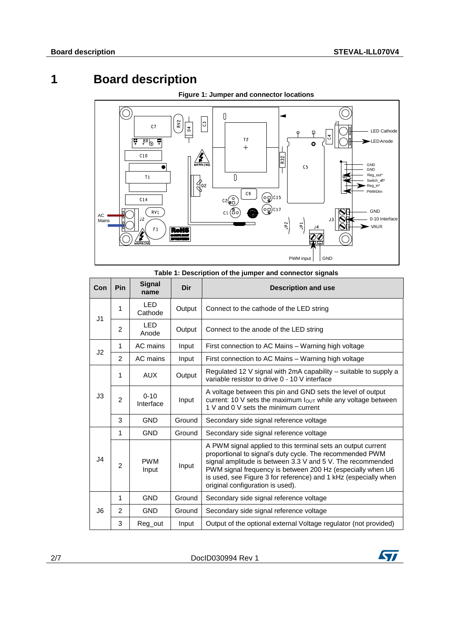## **1 Board description**



**Figure 1: Jumper and connector locations**

| Table 1: Description of the jumper and connector signals |  |  |  |  |  |  |  |  |
|----------------------------------------------------------|--|--|--|--|--|--|--|--|
|----------------------------------------------------------|--|--|--|--|--|--|--|--|

| Con            | Pin            | <b>Signal</b><br>name | Dir    | <b>Description and use</b>                                                                                                                                                                                                                                                                                                                                  |  |  |  |
|----------------|----------------|-----------------------|--------|-------------------------------------------------------------------------------------------------------------------------------------------------------------------------------------------------------------------------------------------------------------------------------------------------------------------------------------------------------------|--|--|--|
| J <sub>1</sub> | 1              | <b>LED</b><br>Cathode | Output | Connect to the cathode of the LED string                                                                                                                                                                                                                                                                                                                    |  |  |  |
|                | $\overline{c}$ | <b>LED</b><br>Anode   | Output | Connect to the anode of the LED string                                                                                                                                                                                                                                                                                                                      |  |  |  |
| J2             | 1              | AC mains              | Input  | First connection to AC Mains – Warning high voltage                                                                                                                                                                                                                                                                                                         |  |  |  |
|                | 2              | AC mains              | Input  | First connection to AC Mains - Warning high voltage                                                                                                                                                                                                                                                                                                         |  |  |  |
| J3             | 1              | <b>AUX</b>            | Output | Regulated 12 V signal with 2mA capability – suitable to supply a<br>variable resistor to drive 0 - 10 V interface                                                                                                                                                                                                                                           |  |  |  |
|                | $\overline{2}$ | $0 - 10$<br>Interface | Input  | A voltage between this pin and GND sets the level of output<br>current: 10 V sets the maximum $I_{\text{OUT}}$ while any voltage between<br>1 V and 0 V sets the minimum current                                                                                                                                                                            |  |  |  |
|                | 3              | <b>GND</b>            | Ground | Secondary side signal reference voltage                                                                                                                                                                                                                                                                                                                     |  |  |  |
|                | 1              | <b>GND</b>            | Ground | Secondary side signal reference voltage                                                                                                                                                                                                                                                                                                                     |  |  |  |
| J4             | 2              | <b>PWM</b><br>Input   | Input  | A PWM signal applied to this terminal sets an output current<br>proportional to signal's duty cycle. The recommended PWM<br>signal amplitude is between 3.3 V and 5 V. The recommended<br>PWM signal frequency is between 200 Hz (especially when U6<br>is used, see Figure 3 for reference) and 1 kHz (especially when<br>original configuration is used). |  |  |  |
| J6             | $\mathbf{1}$   | <b>GND</b>            | Ground | Secondary side signal reference voltage                                                                                                                                                                                                                                                                                                                     |  |  |  |
|                | $\overline{2}$ | <b>GND</b>            | Ground | Secondary side signal reference voltage                                                                                                                                                                                                                                                                                                                     |  |  |  |
|                | 3              | Reg out               | Input  | Output of the optional external Voltage regulator (not provided)                                                                                                                                                                                                                                                                                            |  |  |  |

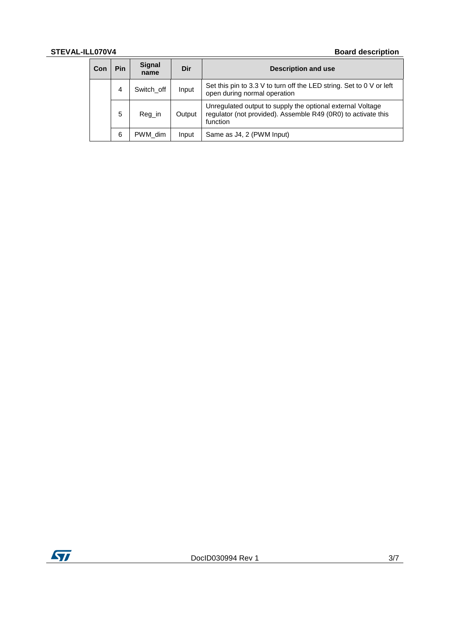### **STEVAL-ILL070V4 Board description**

| Con | Pin | <b>Signal</b><br>name | Dir    | <b>Description and use</b>                                                                                                              |
|-----|-----|-----------------------|--------|-----------------------------------------------------------------------------------------------------------------------------------------|
|     | 4   | Switch off            | Input  | Set this pin to 3.3 V to turn off the LED string. Set to 0 V or left<br>open during normal operation                                    |
|     | 5   | Reg_in                | Output | Unregulated output to supply the optional external Voltage<br>regulator (not provided). Assemble R49 (0R0) to activate this<br>function |
|     | 6   | PWM dim               | Input  | Same as J4, 2 (PWM Input)                                                                                                               |

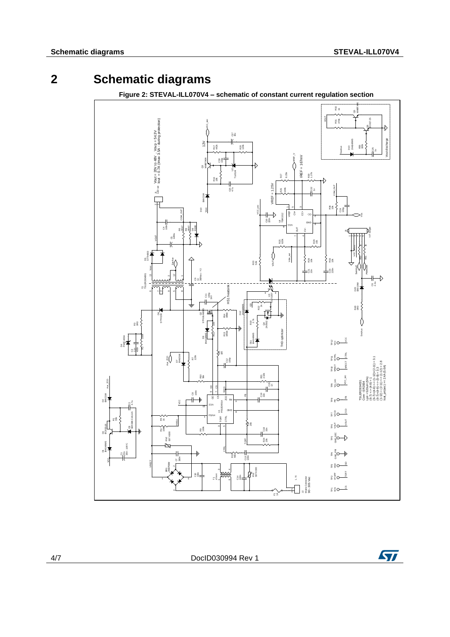### **2 Schematic diagrams**





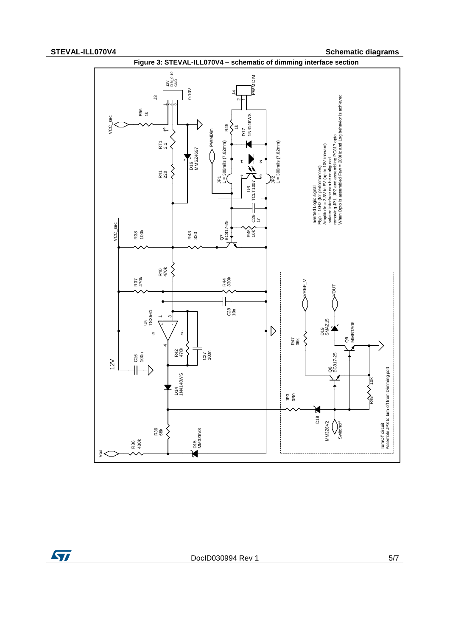**STEVAL-ILL070V4 Schematic diagrams**



ST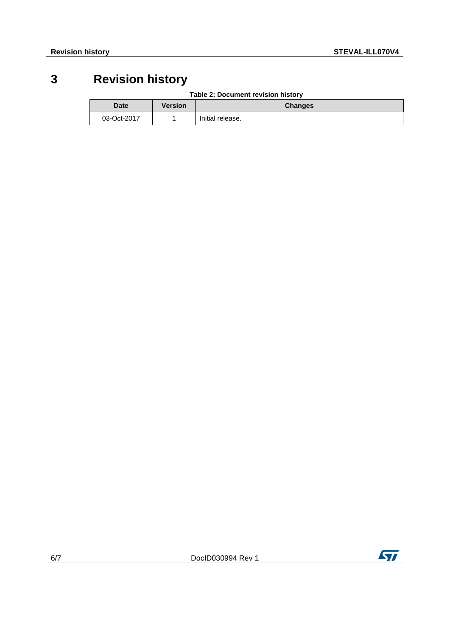## **3 Revision history**

|  | Table 2: Document revision history |  |
|--|------------------------------------|--|
|  |                                    |  |

| <b>Date</b> | Version | <b>Changes</b>   |
|-------------|---------|------------------|
| 03-Oct-2017 |         | Initial release. |